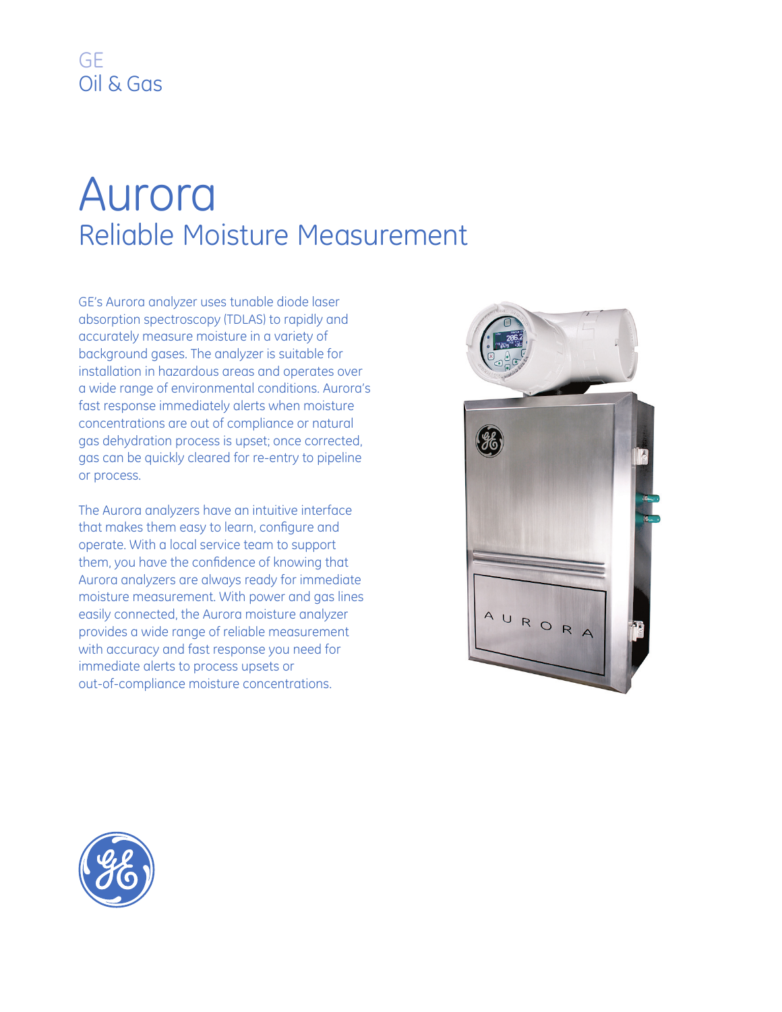## Aurora Reliable Moisture Measurement

GE's Aurora analyzer uses tunable diode laser absorption spectroscopy (TDLAS) to rapidly and accurately measure moisture in a variety of background gases. The analyzer is suitable for installation in hazardous areas and operates over a wide range of environmental conditions. Aurora's fast response immediately alerts when moisture concentrations are out of compliance or natural gas dehydration process is upset; once corrected, gas can be quickly cleared for re-entry to pipeline or process.

The Aurora analyzers have an intuitive interface that makes them easy to learn, configure and operate. With a local service team to support them, you have the confidence of knowing that Aurora analyzers are always ready for immediate moisture measurement. With power and gas lines easily connected, the Aurora moisture analyzer provides a wide range of reliable measurement with accuracy and fast response you need for immediate alerts to process upsets or out-of-compliance moisture concentrations.